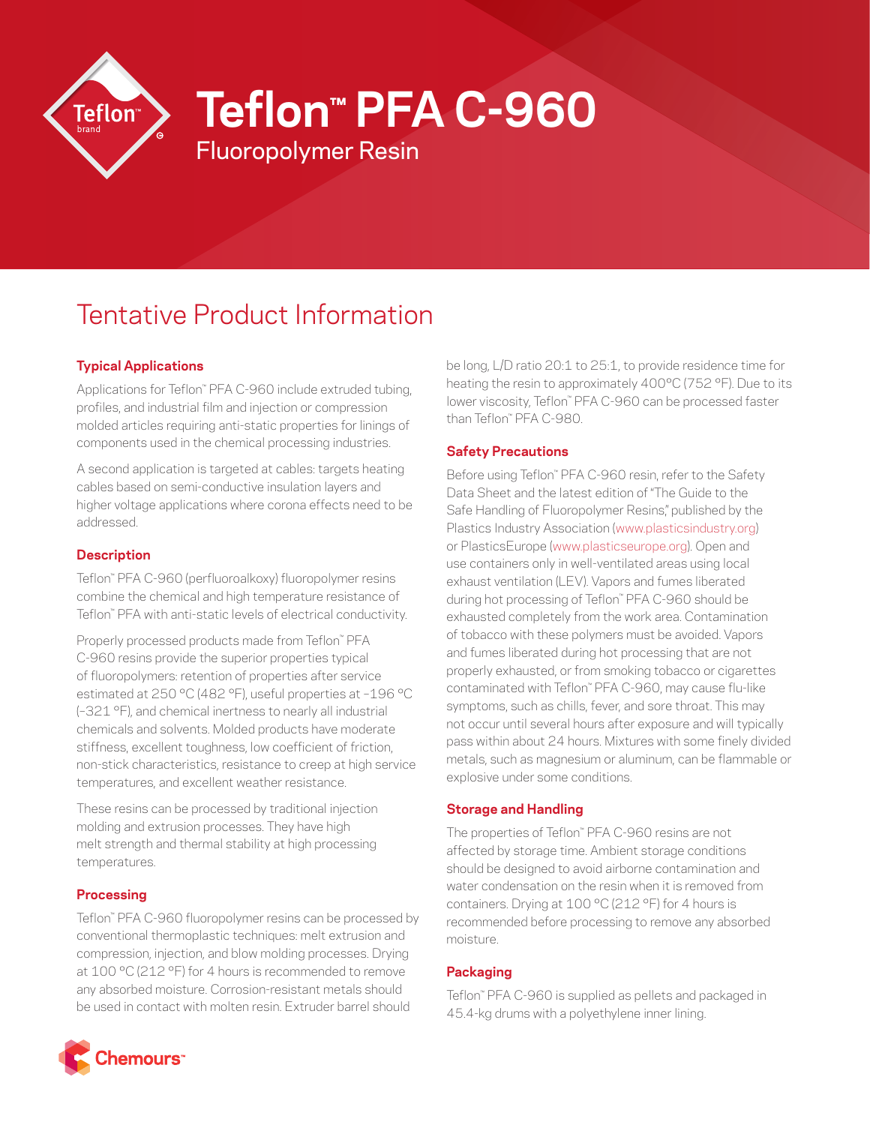

**Teflon™ PFA C-960**

# Tentative Product Information

Fluoropolymer Resin

## **Typical Applications**

Applications for Teflon™ PFA C-960 include extruded tubing, profiles, and industrial film and injection or compression molded articles requiring anti-static properties for linings of components used in the chemical processing industries.

A second application is targeted at cables: targets heating cables based on semi-conductive insulation layers and higher voltage applications where corona effects need to be addressed.

## **Description**

Teflon™ PFA C-960 (perfluoroalkoxy) fluoropolymer resins combine the chemical and high temperature resistance of Teflon™ PFA with anti-static levels of electrical conductivity.

Properly processed products made from Teflon™ PFA C-960 resins provide the superior properties typical of fluoropolymers: retention of properties after service estimated at 250 °C (482 °F), useful properties at –196 °C (–321 °F), and chemical inertness to nearly all industrial chemicals and solvents. Molded products have moderate stiffness, excellent toughness, low coefficient of friction, non-stick characteristics, resistance to creep at high service temperatures, and excellent weather resistance.

These resins can be processed by traditional injection molding and extrusion processes. They have high melt strength and thermal stability at high processing temperatures.

### **Processing**

Teflon™ PFA C-960 fluoropolymer resins can be processed by conventional thermoplastic techniques: melt extrusion and compression, injection, and blow molding processes. Drying at 100 °C (212 °F) for 4 hours is recommended to remove any absorbed moisture. Corrosion-resistant metals should be used in contact with molten resin. Extruder barrel should



### **Safety Precautions**

Before using Teflon™ PFA C-960 resin, refer to the Safety Data Sheet and the latest edition of "The Guide to the Safe Handling of Fluoropolymer Resins," published by the Plastics Industry Association [\(www.plasticsindustry.org](http://www.plasticsindustry.org)) or PlasticsEurope [\(www.plasticseurope.org\)](http://www.plasticseurope.org). Open and use containers only in well-ventilated areas using local exhaust ventilation (LEV). Vapors and fumes liberated during hot processing of Teflon™ PFA C-960 should be exhausted completely from the work area. Contamination of tobacco with these polymers must be avoided. Vapors and fumes liberated during hot processing that are not properly exhausted, or from smoking tobacco or cigarettes contaminated with Teflon™ PFA C-960, may cause flu-like symptoms, such as chills, fever, and sore throat. This may not occur until several hours after exposure and will typically pass within about 24 hours. Mixtures with some finely divided metals, such as magnesium or aluminum, can be flammable or explosive under some conditions.

### **Storage and Handling**

The properties of Teflon™ PFA C-960 resins are not affected by storage time. Ambient storage conditions should be designed to avoid airborne contamination and water condensation on the resin when it is removed from containers. Drying at 100 °C (212 °F) for 4 hours is recommended before processing to remove any absorbed moisture.

### **Packaging**

Teflon™ PFA C-960 is supplied as pellets and packaged in 45.4-kg drums with a polyethylene inner lining.